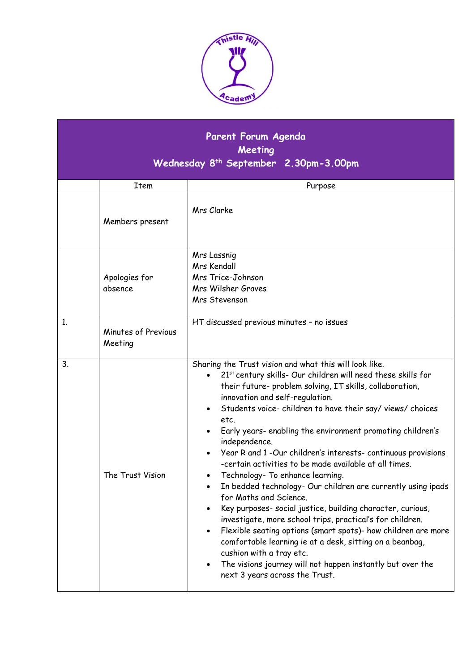

## **Parent Forum Agenda Meeting Wednesday 8 th September 2.30pm-3.00pm**

|    | Item                           | Purpose                                                                                                                                                                                                                                                                                                                                                                                                                                                                                                                                                                                                                                                                                                                                                                                                                                                                                                                                                                                                                                                                                                                                 |
|----|--------------------------------|-----------------------------------------------------------------------------------------------------------------------------------------------------------------------------------------------------------------------------------------------------------------------------------------------------------------------------------------------------------------------------------------------------------------------------------------------------------------------------------------------------------------------------------------------------------------------------------------------------------------------------------------------------------------------------------------------------------------------------------------------------------------------------------------------------------------------------------------------------------------------------------------------------------------------------------------------------------------------------------------------------------------------------------------------------------------------------------------------------------------------------------------|
|    | Members present                | Mrs Clarke                                                                                                                                                                                                                                                                                                                                                                                                                                                                                                                                                                                                                                                                                                                                                                                                                                                                                                                                                                                                                                                                                                                              |
|    | Apologies for<br>absence       | Mrs Lassnig<br>Mrs Kendall<br>Mrs Trice-Johnson<br>Mrs Wilsher Graves<br>Mrs Stevenson                                                                                                                                                                                                                                                                                                                                                                                                                                                                                                                                                                                                                                                                                                                                                                                                                                                                                                                                                                                                                                                  |
| 1. | Minutes of Previous<br>Meeting | HT discussed previous minutes - no issues                                                                                                                                                                                                                                                                                                                                                                                                                                                                                                                                                                                                                                                                                                                                                                                                                                                                                                                                                                                                                                                                                               |
| 3. | The Trust Vision               | Sharing the Trust vision and what this will look like.<br>21 <sup>st</sup> century skills- Our children will need these skills for<br>$\bullet$<br>their future- problem solving, IT skills, collaboration,<br>innovation and self-regulation.<br>Students voice-children to have their say/views/choices<br>$\bullet$<br>etc.<br>Early years- enabling the environment promoting children's<br>independence.<br>Year R and 1 -Our children's interests-continuous provisions<br>$\bullet$<br>-certain activities to be made available at all times.<br>Technology- To enhance learning.<br>$\bullet$<br>In bedded technology- Our children are currently using ipads<br>$\bullet$<br>for Maths and Science.<br>Key purposes- social justice, building character, curious,<br>$\bullet$<br>investigate, more school trips, practical's for children.<br>Flexible seating options (smart spots)- how children are more<br>$\bullet$<br>comfortable learning ie at a desk, sitting on a beanbag,<br>cushion with a tray etc.<br>The visions journey will not happen instantly but over the<br>$\bullet$<br>next 3 years across the Trust. |